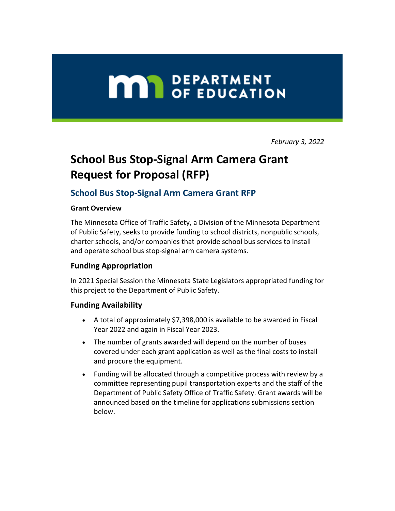# **MAY DEPARTMENT**

*February 3, 2022*

# **School Bus Stop-Signal Arm Camera Grant Request for Proposal (RFP)**

# **School Bus Stop-Signal Arm Camera Grant RFP**

#### **Grant Overview**

The Minnesota Office of Traffic Safety, a Division of the Minnesota Department of Public Safety, seeks to provide funding to school districts, nonpublic schools, charter schools, and/or companies that provide school bus services to install and operate school bus stop-signal arm camera systems.

# **Funding Appropriation**

In 2021 Special Session the Minnesota State Legislators appropriated funding for this project to the Department of Public Safety.

#### **Funding Availability**

- A total of approximately \$7,398,000 is available to be awarded in Fiscal Year 2022 and again in Fiscal Year 2023.
- The number of grants awarded will depend on the number of buses covered under each grant application as well as the final costs to install and procure the equipment.
- Funding will be allocated through a competitive process with review by a committee representing pupil transportation experts and the staff of the Department of Public Safety Office of Traffic Safety. Grant awards will be announced based on the timeline for applications submissions section below.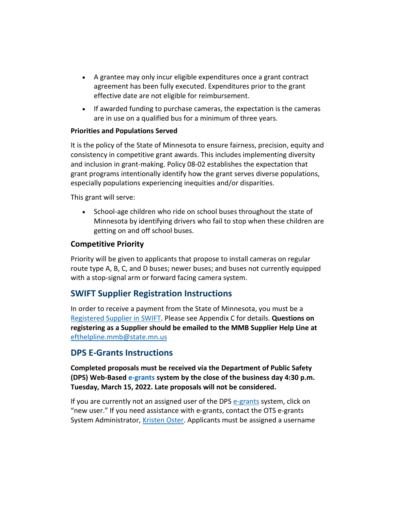- A grantee may only incur eligible expenditures once a grant contract agreement has been fully executed. Expenditures prior to the grant effective date are not eligible for reimbursement.
- If awarded funding to purchase cameras, the expectation is the cameras are in use on a qualified bus for a minimum of three years.

#### **Priorities and Populations Served**

It is the policy of the State of Minnesota to ensure fairness, precision, equity and consistency in competitive grant awards. This includes implementing diversity and inclusion in grant-making. Policy 08-02 establishes the expectation that grant programs intentionally identify how the grant serves diverse populations, especially populations experiencing inequities and/or disparities.

This grant will serve:

• School-age children who ride on school buses throughout the state of Minnesota by identifying drivers who fail to stop when these children are getting on and off school buses.

# **Competitive Priority**

Priority will be given to applicants that propose to install cameras on regular route type A, B, C, and D buses; newer buses; and buses not currently equipped with a stop-signal arm or forward facing camera system.

# **SWIFT Supplier Registration Instructions**

In order to receive a payment from the State of Minnesota, you must be a [Registered Supplier in SWIFT.](https://lnks.gd/l/eyJhbGciOiJIUzI1NiJ9.eyJidWxsZXRpbl9saW5rX2lkIjoxMDAsInVyaSI6ImJwMjpjbGljayIsImJ1bGxldGluX2lkIjoiMjAyMjAyMDMuNTI4NDEwODEiLCJ1cmwiOiJodHRwczovL21uLmdvdi9tbWItc3RhdC9kb2N1bWVudHMvc3dpZnQvdHJhaW5pbmcvdHJhaW5pbmdndWlkZXMvc3dpZnQtc3VwLXBvcnRhbC1yZWdpc3Rlci1hcy1zdXBwbGllci5wZGYifQ.xTAPq7VkHrIOCbVB1Q8JzY--_o4oh2DRHhcdUWJ5wfs/s/7877563/br/126104285030-l) Please see Appendix C for details. **Questions on registering as a Supplier should be emailed to the MMB Supplier Help Line at** [efthelpline.mmb@state.mn.us](mailto:efthelpline.mmb@state.mn.us)

# **DPS E-Grants Instructions**

**Completed proposals must be received via the Department of Public Safety (DPS) Web-Based [e-grants](https://lnks.gd/l/eyJhbGciOiJIUzI1NiJ9.eyJidWxsZXRpbl9saW5rX2lkIjoxMDEsInVyaSI6ImJwMjpjbGljayIsImJ1bGxldGluX2lkIjoiMjAyMjAyMDMuNTI4NDEwODEiLCJ1cmwiOiJodHRwczovL2FwcC5kcHMubW4uZ292L2VncmFudHMifQ.tTRhS4LGkuP1ZfmGxym0eKzdOSOYctByR2rs6Pa3HMI/s/7877563/br/126104285030-l) system by the close of the business day 4:30 p.m. Tuesday, March 15, 2022. Late proposals will not be considered.**

If you are currently not an assigned user of the DPS [e-grants](https://lnks.gd/l/eyJhbGciOiJIUzI1NiJ9.eyJidWxsZXRpbl9saW5rX2lkIjoxMDIsInVyaSI6ImJwMjpjbGljayIsImJ1bGxldGluX2lkIjoiMjAyMjAyMDMuNTI4NDEwODEiLCJ1cmwiOiJodHRwczovL2FwcC5kcHMubW4uZ292L2VncmFudHMifQ.8fHwFS7C5VGFG-cNMxMQkGE0gt8yeBeJ95aDgHFCUjU/s/7877563/br/126104285030-l) system, click on "new user." If you need assistance with e-grants, contact the OTS e-grants System Administrator, [Kristen Oster.](mailto:kristen.oster@state.mn.us) Applicants must be assigned a username